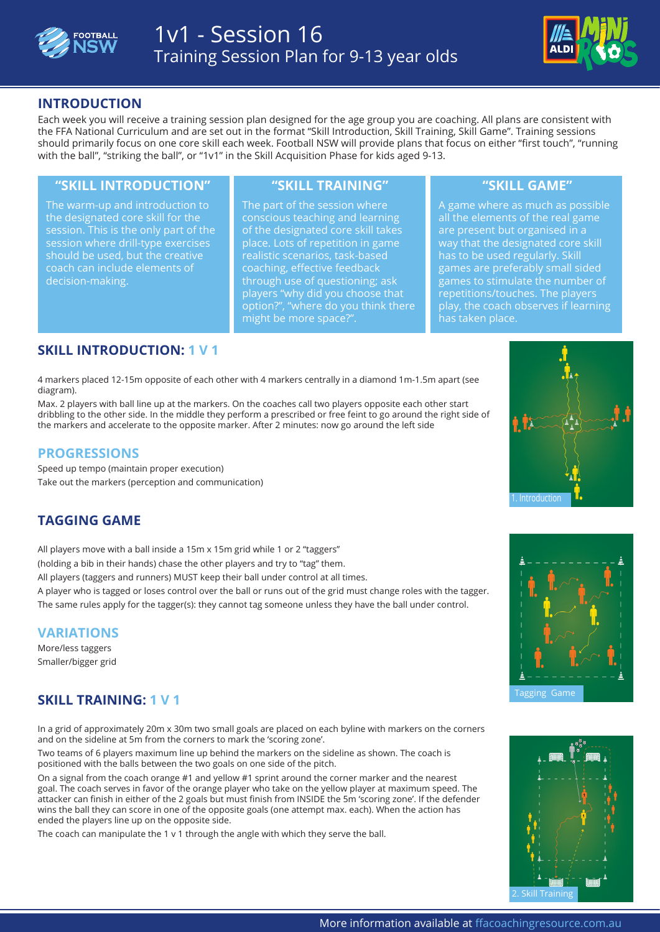



## **INTRODUCTION**

Each week you will receive a training session plan designed for the age group you are coaching. All plans are consistent with the FFA National Curriculum and are set out in the format "Skill Introduction, Skill Training, Skill Game". Training sessions should primarily focus on one core skill each week. Football NSW will provide plans that focus on either "first touch", "running with the ball", "striking the ball", or "1v1" in the Skill Acquisition Phase for kids aged 9-13.

### **"SKILL INTRODUCTION" "SKILL TRAINING" "SKILL GAME"**

The warm-up and introduction to the designated core skill for the session. This is the only part of the session where drill-type exercises should be used, but the creative coach can include elements of decision-making.

The part of the session where conscious teaching and learning of the designated core skill takes place. Lots of repetition in game realistic scenarios, task-based coaching, effective feedback through use of questioning; ask players "why did you choose that option?", "where do you think there might be more space?".

A game where as much as possible all the elements of the real game are present but organised in a way that the designated core skill has to be used regularly. Skill games are preferably small sided games to stimulate the number of repetitions/touches. The players play, the coach observes if learning has taken place.

# **SKILL INTRODUCTION: 1 V 1**

4 markers placed 12-15m opposite of each other with 4 markers centrally in a diamond 1m-1.5m apart (see **FIND OUT MORE** diagram).

Max. 2 players with ball line up at the markers. On the coaches call two players opposite each other start dribbling to the other side. In the middle they perform a prescribed or free feint to go around the right side of the markers and accelerate to the opposite marker. After 2 minutes: now go around the left side

## **PROGRESSIONS**

Speed up tempo (maintain proper execution) Take out the markers (perception and communication)

# **TAGGING GAME**

All players move with a ball inside a 15m x 15m grid while 1 or 2 "taggers" (holding a bib in their hands) chase the other players and try to "tag" them.

All players (taggers and runners) MUST keep their ball under control at all times.

A player who is tagged or loses control over the ball or runs out of the grid must change roles with the tagger. The same rules apply for the tagger(s): they cannot tag someone unless they have the ball under control.

## **VARIATIONS**

More/less taggers Smaller/bigger grid

# **SKILL TRAINING: 1 V 1**

In a grid of approximately 20m x 30m two small goals are placed on each byline with markers on the corners and on the sideline at 5m from the corners to mark the 'scoring zone'.

Two teams of 6 players maximum line up behind the markers on the sideline as shown. The coach is positioned with the balls between the two goals on one side of the pitch.

On a signal from the coach orange #1 and yellow #1 sprint around the corner marker and the nearest goal. The coach serves in favor of the orange player who take on the yellow player at maximum speed. The attacker can finish in either of the 2 goals but must finish from INSIDE the 5m 'scoring zone'. If the defender wins the ball they can score in one of the opposite goals (one attempt max. each). When the action has ended the players line up on the opposite side.

The coach can manipulate the 1 v 1 through the angle with which they serve the ball.